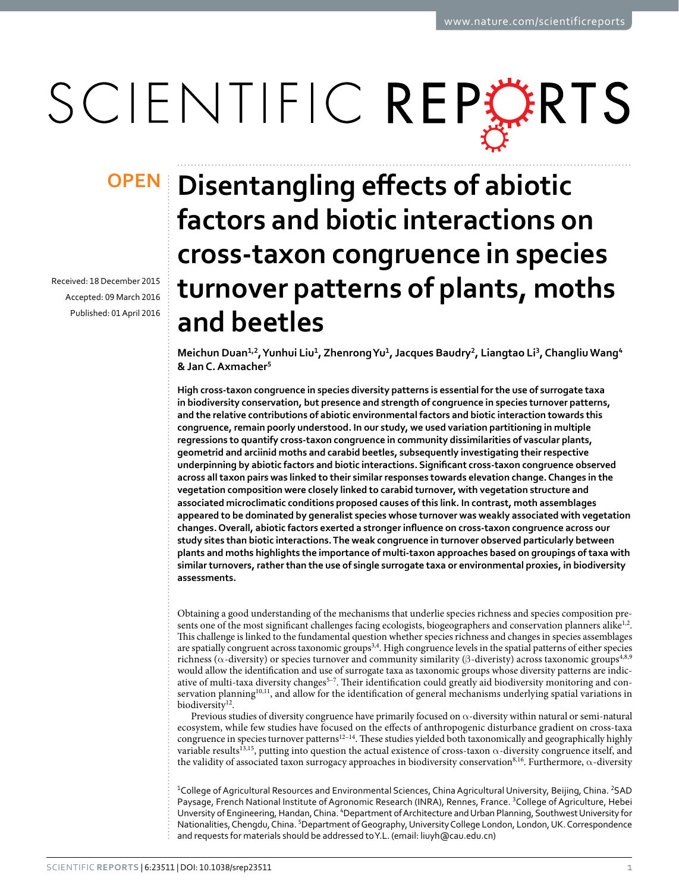# SCIENTIFIC REPORTS

Received: 18 December 2015 accepted: 09 March 2016 Published: 01 April 2016

## **Disentangling effects of abiotic OPENfactors and biotic interactions on cross-taxon congruence in species turnover patterns of plants, moths and beetles**

**Meichun Duan1,2, Yunhui Liu1, ZhenrongYu1, Jacques Baudry2, Liangtao Li3, ChangliuWang4 & Jan C.Axmacher5**

**High cross-taxon congruence in species diversity patterns is essential for the use of surrogate taxa in biodiversity conservation, but presence and strength of congruence in species turnover patterns, and the relative contributions of abiotic environmental factors and biotic interaction towards this congruence, remain poorly understood. In our study, we used variation partitioning in multiple regressions to quantify cross-taxon congruence in community dissimilarities of vascular plants, geometrid and arciinid moths and carabid beetles, subsequently investigating their respective underpinning by abiotic factors and biotic interactions. Significant cross-taxon congruence observed across all taxon pairs was linked to their similar responses towards elevation change. Changes in the vegetation composition were closely linked to carabid turnover, with vegetation structure and associated microclimatic conditions proposed causes of this link. In contrast, moth assemblages appeared to be dominated by generalist species whose turnover was weakly associated with vegetation changes. Overall, abiotic factors exerted a stronger influence on cross-taxon congruence across our study sites than biotic interactions. The weak congruence in turnover observed particularly between plants and moths highlights the importance of multi-taxon approaches based on groupings of taxa with similar turnovers, rather than the use of single surrogate taxa or environmental proxies, in biodiversity assessments.**

Obtaining a good understanding of the mechanisms that underlie species richness and species composition pre-sents one of the most significant challenges facing ecologists, biogeographers and conservation planners alike<sup>[1](#page-6-0),2</sup>. This challenge is linked to the fundamental question whether species richness and changes in species assemblages are spatially congruent across taxonomic groups<sup>[3,](#page-6-2)4</sup>. High congruence levels in the spatial patterns of either species richness (α-diversity) or species turnover and community similarity (β-diveristy) across taxonomic groups<sup>4,[8](#page-7-0),[9](#page-7-1)</sup> would allow the identification and use of surrogate taxa as taxonomic groups whose diversity patterns are indicative of multi-taxa diversity changes<sup>5-7</sup>. Their identification could greatly aid biodiversity monitoring and con-servation planning<sup>10[,11](#page-7-3)</sup>, and allow for the identification of general mechanisms underlying spatial variations in biodiversity<sup>12</sup>.

Previous studies of diversity congruence have primarily focused on  $\alpha$ -diversity within natural or semi-natural ecosystem, while few studies have focused on the effects of anthropogenic disturbance gradient on cross-taxa congruence in species turnover patterns<sup>12–14</sup>. These studies yielded both taxonomically and geographically highly variable results<sup>13,15</sup>, putting into question the actual existence of cross-taxon  $\alpha$ -diversity congruence itself, and the validity of associated taxon surrogacy approaches in biodiversity conservation<sup>[8](#page-7-0),[16](#page-7-7)</sup>. Furthermore, α-diversity

<sup>1</sup>College of Agricultural Resources and Environmental Sciences, China Agricultural University, Beijing, China. <sup>2</sup>SAD Paysage, French National Institute of Agronomic Research (INRA), Rennes, France. <sup>3</sup>College of Agriculture, Hebei Unversity of Engineering, Handan, China. <sup>4</sup>Department of Architecture and Urban Planning, Southwest University for Nationalities, Chengdu, China. <sup>5</sup>Department of Geography, University College London, London, UK. Correspondence and requests for materials should be addressed to Y.L. (email: [liuyh@cau.edu.cn](mailto:liuyh@cau.edu.cn))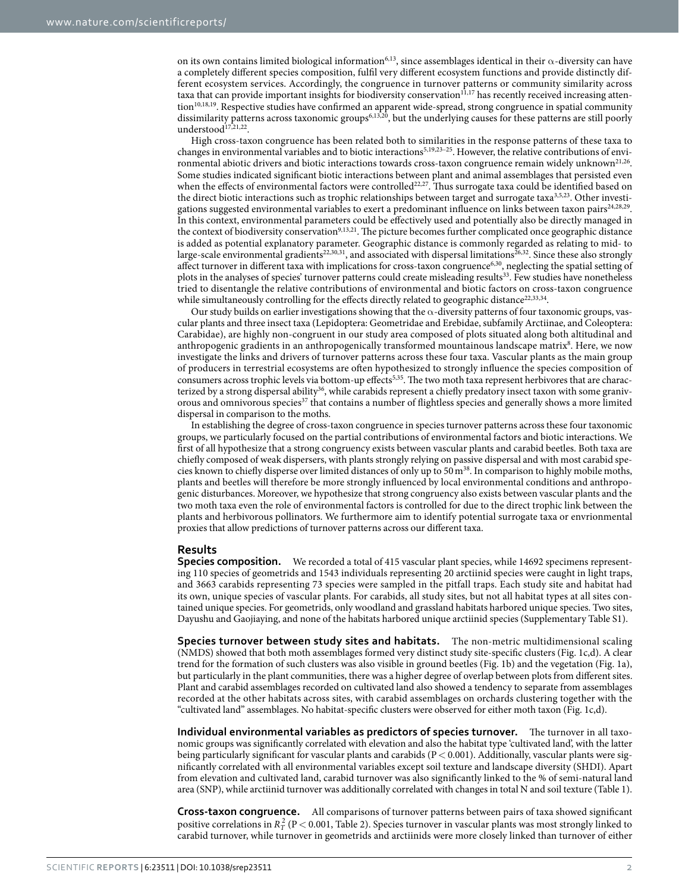on its own contains limited biological information<sup>[6](#page-6-5),[13](#page-7-5)</sup>, since assemblages identical in their  $\alpha$ -diversity can have a completely different species composition, fulfil very different ecosystem functions and provide distinctly different ecosystem services. Accordingly, the congruence in turnover patterns or community similarity across taxa that can provide important insights for biodiversity conservation<sup>[11,](#page-7-3)17</sup> has recently received increasing atten-tion<sup>10[,18,](#page-7-9)19</sup>. Respective studies have confirmed an apparent wide-spread, strong congruence in spatial community dissimilarity patterns across taxonomic groups[6](#page-6-5),[13](#page-7-5),[20](#page-7-11), but the underlying causes for these patterns are still poorly understood $17,21,22$  $17,21,22$  $17,21,22$ .

High cross-taxon congruence has been related both to similarities in the response patterns of these taxa to changes in environmental variables and to biotic interactions[5](#page-6-4),[19](#page-7-10),[23–25.](#page-7-14) However, the relative contributions of envi-ronmental abiotic drivers and biotic interactions towards cross-taxon congruence remain widely unknown<sup>[21,](#page-7-12)26</sup>. Some studies indicated significant biotic interactions between plant and animal assemblages that persisted even when the effects of environmental factors were controlled<sup>22,27</sup>. Thus surrogate taxa could be identified based on the direct biotic interactions such as trophic relationships between target and surrogate taxa<sup>[3,](#page-6-2)[5](#page-6-4)[,23](#page-7-14)</sup>. Other investi-gations suggested environmental variables to exert a predominant influence on links between taxon pairs<sup>[24,](#page-7-17)[28,](#page-7-18)29</sup>. In this context, environmental parameters could be effectively used and potentially also be directly managed in the context of biodiversity conservation<sup>9,[13](#page-7-5),[21](#page-7-12)</sup>. The picture becomes further complicated once geographic distance is added as potential explanatory parameter. Geographic distance is commonly regarded as relating to mid- to large-scale environmental gradients $^{22,30,31}$  $^{22,30,31}$  $^{22,30,31}$ , and associated with dispersal limitations $^{26,32}$ . Since these also strongly affect turnover in different taxa with implications for cross-taxon congruence<sup>6,[30](#page-7-20)</sup>, neglecting the spatial setting of plots in the analyses of species' turnover patterns could create misleading results<sup>33</sup>. Few studies have nonetheless tried to disentangle the relative contributions of environmental and biotic factors on cross-taxon congruence while simultaneously controlling for the effects directly related to geographic distance<sup>22,[33,](#page-7-23)34</sup>.

Our study builds on earlier investigations showing that the  $\alpha$ -diversity patterns of four taxonomic groups, vascular plants and three insect taxa (Lepidoptera: Geometridae and Erebidae, subfamily Arctiinae, and Coleoptera: Carabidae), are highly non-congruent in our study area composed of plots situated along both altitudinal and anthropogenic gradients in an anthropogenically transformed mountainous landscape matrix<sup>[8](#page-7-0)</sup>. Here, we now investigate the links and drivers of turnover patterns across these four taxa. Vascular plants as the main group of producers in terrestrial ecosystems are often hypothesized to strongly influence the species composition of consumers across trophic levels via bottom-up effects<sup>5,35</sup>. The two moth taxa represent herbivores that are characterized by a strong dispersal ability<sup>36</sup>, while carabids represent a chiefly predatory insect taxon with some graniv-orous and omnivorous species<sup>[37](#page-7-27)</sup> that contains a number of flightless species and generally shows a more limited dispersal in comparison to the moths.

In establishing the degree of cross-taxon congruence in species turnover patterns across these four taxonomic groups, we particularly focused on the partial contributions of environmental factors and biotic interactions. We first of all hypothesize that a strong congruency exists between vascular plants and carabid beetles. Both taxa are chiefly composed of weak dispersers, with plants strongly relying on passive dispersal and with most carabid species known to chiefly disperse over limited distances of only up to 50  $m<sup>38</sup>$ . In comparison to highly mobile moths, plants and beetles will therefore be more strongly influenced by local environmental conditions and anthropogenic disturbances. Moreover, we hypothesize that strong congruency also exists between vascular plants and the two moth taxa even the role of environmental factors is controlled for due to the direct trophic link between the plants and herbivorous pollinators. We furthermore aim to identify potential surrogate taxa or envrionmental proxies that allow predictions of turnover patterns across our different taxa.

### **Results**

**Species composition.** We recorded a total of 415 vascular plant species, while 14692 specimens representing 110 species of geometrids and 1543 individuals representing 20 arctiinid species were caught in light traps, and 3663 carabids representing 73 species were sampled in the pitfall traps. Each study site and habitat had its own, unique species of vascular plants. For carabids, all study sites, but not all habitat types at all sites contained unique species. For geometrids, only woodland and grassland habitats harbored unique species. Two sites, Dayushu and Gaojiaying, and none of the habitats harbored unique arctiinid species (Supplementary Table S1).

**Species turnover between study sites and habitats.** The non-metric multidimensional scaling (NMDS) showed that both moth assemblages formed very distinct study site-specific clusters [\(Fig. 1c,d](#page-2-0)). A clear trend for the formation of such clusters was also visible in ground beetles [\(Fig. 1b\)](#page-2-0) and the vegetation [\(Fig. 1a](#page-2-0)), but particularly in the plant communities, there was a higher degree of overlap between plots from different sites. Plant and carabid assemblages recorded on cultivated land also showed a tendency to separate from assemblages recorded at the other habitats across sites, with carabid assemblages on orchards clustering together with the "cultivated land" assemblages. No habitat-specific clusters were observed for either moth taxon [\(Fig. 1c,d](#page-2-0)).

**Individual environmental variables as predictors of species turnover.** The turnover in all taxonomic groups was significantly correlated with elevation and also the habitat type 'cultivated land', with the latter being particularly significant for vascular plants and carabids ( $P < 0.001$ ). Additionally, vascular plants were significantly correlated with all environmental variables except soil texture and landscape diversity (SHDI). Apart from elevation and cultivated land, carabid turnover was also significantly linked to the % of semi-natural land area (SNP), while arctiinid turnover was additionally correlated with changes in total N and soil texture [\(Table 1](#page-2-1)).

**Cross-taxon congruence.** All comparisons of turnover patterns between pairs of taxa showed significant positive correlations in  $R_T^2$  (P < 0.001, [Table 2](#page-3-0)). Species turnover in vascular plants was most strongly linked to carabid turnover, while turnover in geometrids and arctiinids were more closely linked than turnover of either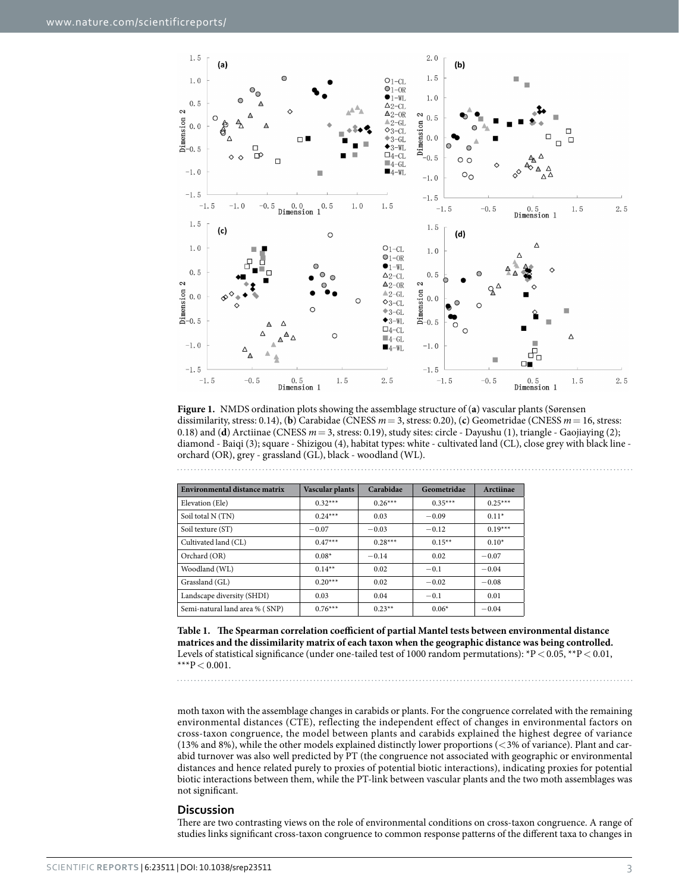

<span id="page-2-0"></span>**Figure 1.** NMDS ordination plots showing the assemblage structure of (**a**) vascular plants (Sørensen dissimilarity, stress: 0.14), (**b**) Carabidae (CNESS *m*= 3, stress: 0.20), (**c**) Geometridae (CNESS *m*= 16, stress: 0.18) and (**d**) Arctiinae (CNESS *m*= 3, stress: 0.19), study sites: circle - Dayushu (1), triangle - Gaojiaying (2); diamond - Baiqi (3); square - Shizigou (4), habitat types: white - cultivated land (CL), close grey with black line orchard (OR), grey - grassland (GL), black - woodland (WL).

<span id="page-2-1"></span>

| Environmental distance matrix  | Vascular plants | Carabidae | Geometridae | Arctiinae |
|--------------------------------|-----------------|-----------|-------------|-----------|
| Elevation (Ele)                | $0.32***$       | $0.26***$ | $0.35***$   | $0.25***$ |
| Soil total N (TN)              | $0.24***$       | 0.03      | $-0.09$     | $0.11*$   |
| Soil texture (ST)              | $-0.07$         | $-0.03$   | $-0.12$     | $0.19***$ |
| Cultivated land (CL)           | $0.47***$       | $0.28***$ | $0.15***$   | $0.10*$   |
| Orchard (OR)                   | $0.08*$         | $-0.14$   | 0.02        | $-0.07$   |
| Woodland (WL)                  | $0.14***$       | 0.02      | $-0.1$      | $-0.04$   |
| Grassland (GL)                 | $0.20***$       | 0.02      | $-0.02$     | $-0.08$   |
| Landscape diversity (SHDI)     | 0.03            | 0.04      | $-0.1$      | 0.01      |
| Semi-natural land area % (SNP) | $0.76***$       | $0.23**$  | $0.06*$     | $-0.04$   |

**Table 1. The Spearman correlation coefficient of partial Mantel tests between environmental distance matrices and the dissimilarity matrix of each taxon when the geographic distance was being controlled.** Levels of statistical significance (under one-tailed test of 1000 random permutations): \*P < 0.05, \*\*P < 0.01, \*\*\* $P < 0.001$ .

moth taxon with the assemblage changes in carabids or plants. For the congruence correlated with the remaining environmental distances (CTE), reflecting the independent effect of changes in environmental factors on cross-taxon congruence, the model between plants and carabids explained the highest degree of variance (13% and 8%), while the other models explained distinctly lower proportions ( $\langle 3\%$  of variance). Plant and carabid turnover was also well predicted by PT (the congruence not associated with geographic or environmental distances and hence related purely to proxies of potential biotic interactions), indicating proxies for potential biotic interactions between them, while the PT-link between vascular plants and the two moth assemblages was not significant.

### **Discussion**

There are two contrasting views on the role of environmental conditions on cross-taxon congruence. A range of studies links significant cross-taxon congruence to common response patterns of the different taxa to changes in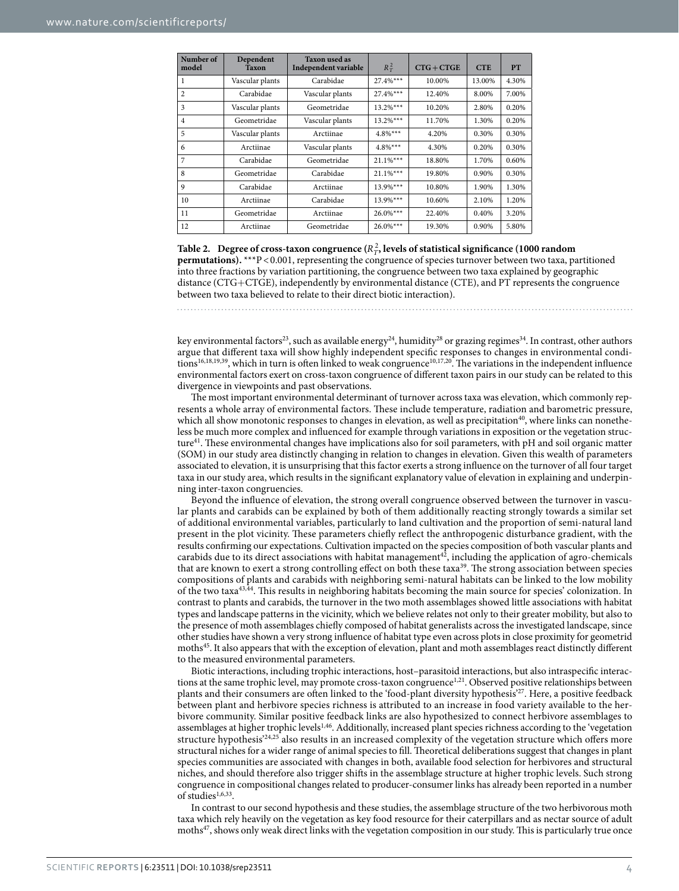<span id="page-3-0"></span>

| Number of<br>model | Dependent<br>Taxon | <b>Taxon used as</b><br>Independent variable | $R_T^2$     | $CTG + CTGE$ | <b>CTE</b> | <b>PT</b> |
|--------------------|--------------------|----------------------------------------------|-------------|--------------|------------|-----------|
| 1                  | Vascular plants    | Carabidae                                    | $27.4%***$  | 10.00%       | 13.00%     | 4.30%     |
| $\overline{c}$     | Carabidae          | Vascular plants                              | $27.4%***$  | 12.40%       | 8.00%      | 7.00%     |
| 3                  | Vascular plants    | Geometridae                                  | $13.2%***$  | 10.20%       | 2.80%      | 0.20%     |
| $\overline{4}$     | Geometridae        | Vascular plants                              | $13.2%***$  | 11.70%       | 1.30%      | 0.20%     |
| 5                  | Vascular plants    | Arctiinae                                    | $4.8\%$ *** | 4.20%        | 0.30%      | 0.30%     |
| 6                  | Arctiinae          | Vascular plants                              | $4.8\%***$  | 4.30%        | 0.20%      | 0.30%     |
| 7                  | Carabidae          | Geometridae                                  | $21.1\%***$ | 18.80%       | 1.70%      | 0.60%     |
| 8                  | Geometridae        | Carabidae                                    | $21.1\%***$ | 19.80%       | 0.90%      | 0.30%     |
| 9                  | Carabidae          | Arctiinae                                    | $13.9%***$  | 10.80%       | 1.90%      | 1.30%     |
| 10                 | Arctiinae          | Carabidae                                    | $13.9%***$  | 10.60%       | 2.10%      | 1.20%     |
| 11                 | Geometridae        | Arctiinae                                    | $26.0\%***$ | 22.40%       | 0.40%      | 3.20%     |
| 12                 | Arctiinae          | Geometridae                                  | $26.0\%***$ | 19.30%       | 0.90%      | 5.80%     |

Table 2. Degree of cross-taxon congruence  $(R_T^2)$ , levels of statistical significance (1000 random **permutations).** \*\*\*P<0.001, representing the congruence of species turnover between two taxa, partitioned into three fractions by variation partitioning, the congruence between two taxa explained by geographic distance (CTG+CTGE), independently by environmental distance (CTE), and PT represents the congruence between two taxa believed to relate to their direct biotic interaction).

key environmental factors<sup>[23](#page-7-14)</sup>, such as available energy<sup>[24](#page-7-17)</sup>, humidity<sup>[28](#page-7-18)</sup> or grazing regimes<sup>[34](#page-7-24)</sup>. In contrast, other authors argue that different taxa will show highly independent specific responses to changes in environmental condi-tions<sup>16[,18](#page-7-9)[,19](#page-7-10),39</sup>, which in turn is often linked to weak congruence<sup>[10](#page-7-2),[17](#page-7-8),[20](#page-7-11)</sup>. The variations in the independent influence environmental factors exert on cross-taxon congruence of different taxon pairs in our study can be related to this divergence in viewpoints and past observations.

The most important environmental determinant of turnover across taxa was elevation, which commonly represents a whole array of environmental factors. These include temperature, radiation and barometric pressure, which all show monotonic responses to changes in elevation, as well as precipitation<sup>[40](#page-7-30)</sup>, where links can nonetheless be much more complex and influenced for example through variations in exposition or the vegetation structur[e41.](#page-7-31) These environmental changes have implications also for soil parameters, with pH and soil organic matter (SOM) in our study area distinctly changing in relation to changes in elevation. Given this wealth of parameters associated to elevation, it is unsurprising that this factor exerts a strong influence on the turnover of all four target taxa in our study area, which results in the significant explanatory value of elevation in explaining and underpinning inter-taxon congruencies.

Beyond the influence of elevation, the strong overall congruence observed between the turnover in vascular plants and carabids can be explained by both of them additionally reacting strongly towards a similar set of additional environmental variables, particularly to land cultivation and the proportion of semi-natural land present in the plot vicinity. These parameters chiefly reflect the anthropogenic disturbance gradient, with the results confirming our expectations. Cultivation impacted on the species composition of both vascular plants and carabids due to its direct associations with habitat management<sup>42</sup>, including the application of agro-chemicals that are known to exert a strong controlling effect on both these taxa<sup>[39](#page-7-29)</sup>. The strong association between species compositions of plants and carabids with neighboring semi-natural habitats can be linked to the low mobility of the two tax[a43](#page-7-33),[44](#page-7-34). This results in neighboring habitats becoming the main source for species' colonization. In contrast to plants and carabids, the turnover in the two moth assemblages showed little associations with habitat types and landscape patterns in the vicinity, which we believe relates not only to their greater mobility, but also to the presence of moth assemblages chiefly composed of habitat generalists across the investigated landscape, since other studies have shown a very strong influence of habitat type even across plots in close proximity for geometrid moths<sup>45</sup>. It also appears that with the exception of elevation, plant and moth assemblages react distinctly different to the measured environmental parameters.

Biotic interactions, including trophic interactions, host–parasitoid interactions, but also intraspecific interac-tions at the same trophic level, may promote cross-taxon congruence<sup>[1,](#page-6-0)21</sup>. Observed positive relationships between plants and their consumers are often linked to the 'food-plant diversity hypothesis['27.](#page-7-16) Here, a positive feedback between plant and herbivore species richness is attributed to an increase in food variety available to the herbivore community. Similar positive feedback links are also hypothesized to connect herbivore assemblages to assemblages at higher trophic level[s1](#page-6-0),[46](#page-7-36). Additionally, increased plant species richness according to the 'vegetation structure hypothesis<sup>'[24,](#page-7-17)25</sup> also results in an increased complexity of the vegetation structure which offers more structural niches for a wider range of animal species to fill. Theoretical deliberations suggest that changes in plant species communities are associated with changes in both, available food selection for herbivores and structural niches, and should therefore also trigger shifts in the assemblage structure at higher trophic levels. Such strong congruence in compositional changes related to producer-consumer links has already been reported in a number of studies $1,6,33$  $1,6,33$  $1,6,33$  $1,6,33$ .

In contrast to our second hypothesis and these studies, the assemblage structure of the two herbivorous moth taxa which rely heavily on the vegetation as key food resource for their caterpillars and as nectar source of adult moths<sup>47</sup>, shows only weak direct links with the vegetation composition in our study. This is particularly true once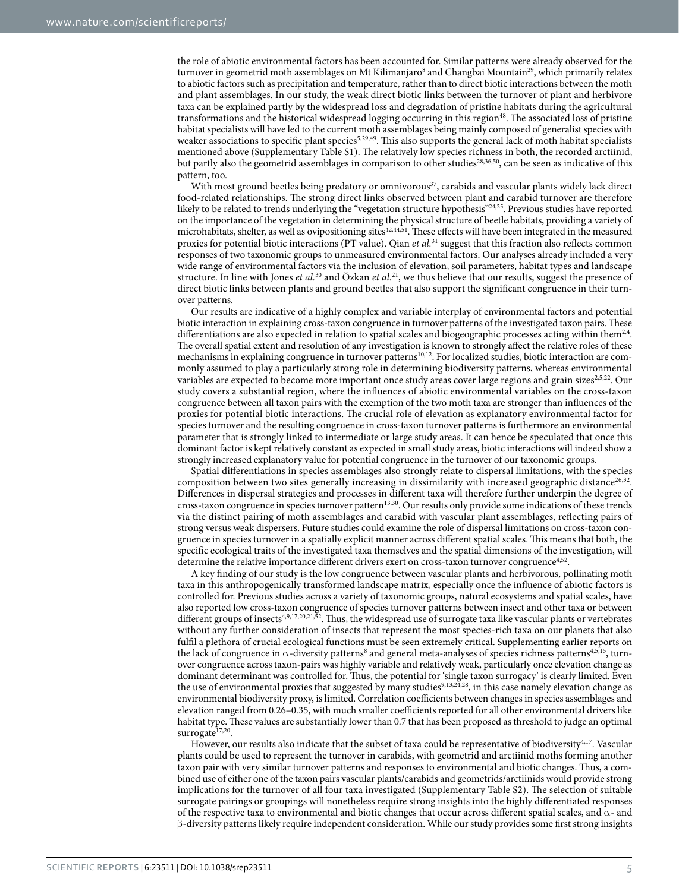the role of abiotic environmental factors has been accounted for. Similar patterns were already observed for the turnover in geometrid moth assemblages on Mt Kilimanjaro<sup>8</sup> and Changbai Mountain<sup>[29](#page-7-19)</sup>, which primarily relates to abiotic factors such as precipitation and temperature, rather than to direct biotic interactions between the moth and plant assemblages. In our study, the weak direct biotic links between the turnover of plant and herbivore taxa can be explained partly by the widespread loss and degradation of pristine habitats during the agricultural transformations and the historical widespread logging occurring in this region<sup>48</sup>. The associated loss of pristine habitat specialists will have led to the current moth assemblages being mainly composed of generalist species with weaker associations to specific plant species<sup>5,[29](#page-7-19),[49](#page-7-40)</sup>. This also supports the general lack of moth habitat specialists mentioned above (Supplementary Table S1). The relatively low species richness in both, the recorded arctiinid, but partly also the geometrid assemblages in comparison to other studies<sup>28[,36](#page-7-26),50</sup>, can be seen as indicative of this pattern, too.

With most ground beetles being predatory or omnivorous<sup>37</sup>, carabids and vascular plants widely lack direct food-related relationships. The strong direct links observed between plant and carabid turnover are therefore likely to be related to trends underlying the "vegetation structure hypothesis"[24,](#page-7-17)[25](#page-7-37). Previous studies have reported on the importance of the vegetation in determining the physical structure of beetle habitats, providing a variety of microhabitats, shelter, as well as ovipositioning sites<sup>42,[44,](#page-7-34)51</sup>. These effects will have been integrated in the measured proxies for potential biotic interactions (PT value). Qian *et al.*[31](#page-7-21) suggest that this fraction also reflects common responses of two taxonomic groups to unmeasured environmental factors. Our analyses already included a very wide range of environmental factors via the inclusion of elevation, soil parameters, habitat types and landscape structure. In line with Jones *et al.*[30](#page-7-20) and Özkan *et al.*[21,](#page-7-12) we thus believe that our results, suggest the presence of direct biotic links between plants and ground beetles that also support the significant congruence in their turnover patterns.

Our results are indicative of a highly complex and variable interplay of environmental factors and potential biotic interaction in explaining cross-taxon congruence in turnover patterns of the investigated taxon pairs. These differentiations are also expected in relation to spatial scales and biogeographic processes acting within them<sup>[2](#page-6-1),4</sup>. The overall spatial extent and resolution of any investigation is known to strongly affect the relative roles of these mechanisms in explaining congruence in turnover patterns<sup>10,12</sup>. For localized studies, biotic interaction are commonly assumed to play a particularly strong role in determining biodiversity patterns, whereas environmental variables are expected to become more important once study areas cover large regions and grain sizes<sup>2,[5,](#page-6-4)22</sup>. Our study covers a substantial region, where the influences of abiotic environmental variables on the cross-taxon congruence between all taxon pairs with the exemption of the two moth taxa are stronger than influences of the proxies for potential biotic interactions. The crucial role of elevation as explanatory environmental factor for species turnover and the resulting congruence in cross-taxon turnover patterns is furthermore an environmental parameter that is strongly linked to intermediate or large study areas. It can hence be speculated that once this dominant factor is kept relatively constant as expected in small study areas, biotic interactions will indeed show a strongly increased explanatory value for potential congruence in the turnover of our taxonomic groups.

Spatial differentiations in species assemblages also strongly relate to dispersal limitations, with the species composition between two sites generally increasing in dissimilarity with increased geographic distance<sup>[26](#page-7-15),32</sup>. Differences in dispersal strategies and processes in different taxa will therefore further underpin the degree of cross-taxon congruence in species turnover pattern[13](#page-7-5),[30](#page-7-20). Our results only provide some indications of these trends via the distinct pairing of moth assemblages and carabid with vascular plant assemblages, reflecting pairs of strong versus weak dispersers. Future studies could examine the role of dispersal limitations on cross-taxon congruence in species turnover in a spatially explicit manner across different spatial scales. This means that both, the specific ecological traits of the investigated taxa themselves and the spatial dimensions of the investigation, will determine the relative importance different drivers exert on cross-taxon turnover congruence<sup>4,52</sup>.

A key finding of our study is the low congruence between vascular plants and herbivorous, pollinating moth taxa in this anthropogenically transformed landscape matrix, especially once the influence of abiotic factors is controlled for. Previous studies across a variety of taxonomic groups, natural ecosystems and spatial scales, have also reported low cross-taxon congruence of species turnover patterns between insect and other taxa or between different groups of insects<sup>4[,9](#page-7-1)[,17](#page-7-8)[,20](#page-7-11)[,21](#page-7-12),52</sup>. Thus, the widespread use of surrogate taxa like vascular plants or vertebrates without any further consideration of insects that represent the most species-rich taxa on our planets that also fulfil a plethora of crucial ecological functions must be seen extremely critical. Supplementing earlier reports on the lack of congruence in  $\alpha$ -diversity patterns<sup>8</sup> and general meta-analyses of species richness patterns<sup>[4,](#page-6-3)[5,](#page-6-4)15</sup>, turnover congruence across taxon-pairs was highly variable and relatively weak, particularly once elevation change as dominant determinant was controlled for. Thus, the potential for 'single taxon surrogacy' is clearly limited. Even the use of environmental proxies that suggested by many studies<sup>9[,13](#page-7-5)[,24](#page-7-17),28</sup>, in this case namely elevation change as environmental biodiversity proxy, is limited. Correlation coefficients between changes in species assemblages and elevation ranged from 0.26–0.35, with much smaller coefficients reported for all other environmental drivers like habitat type. These values are substantially lower than 0.7 that has been proposed as threshold to judge an optimal surrogate $17,20$ .

However, our results also indicate that the subset of taxa could be representative of biodiversity<sup>[4](#page-6-3),[17](#page-7-8)</sup>. Vascular plants could be used to represent the turnover in carabids, with geometrid and arctiinid moths forming another taxon pair with very similar turnover patterns and responses to environmental and biotic changes. Thus, a combined use of either one of the taxon pairs vascular plants/carabids and geometrids/arctiinids would provide strong implications for the turnover of all four taxa investigated (Supplementary Table S2). The selection of suitable surrogate pairings or groupings will nonetheless require strong insights into the highly differentiated responses of the respective taxa to environmental and biotic changes that occur across different spatial scales, and  $\alpha$ - and β-diversity patterns likely require independent consideration. While our study provides some first strong insights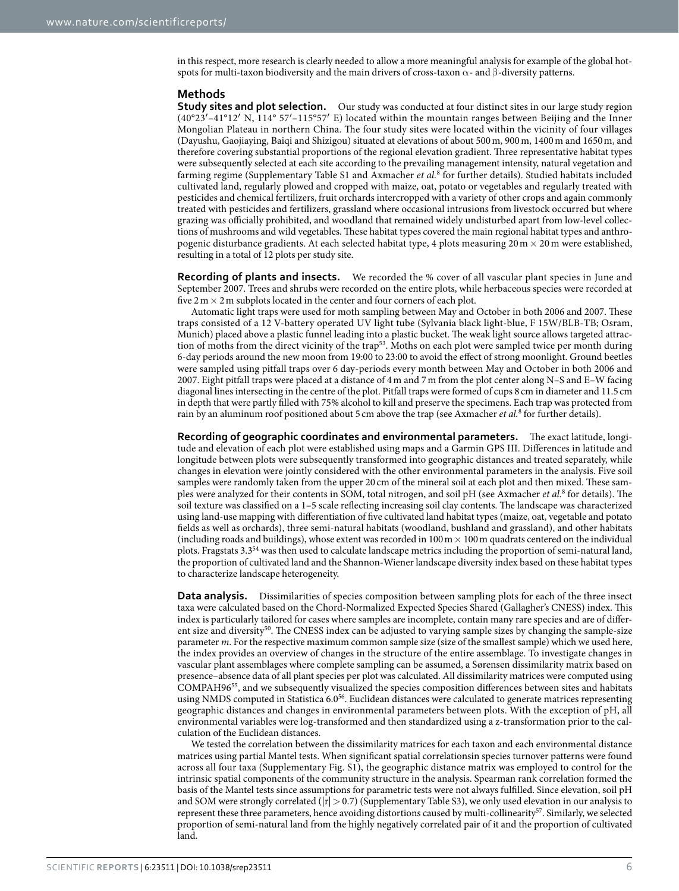in this respect, more research is clearly needed to allow a more meaningful analysis for example of the global hotspots for multi-taxon biodiversity and the main drivers of cross-taxon  $\alpha$ - and β-diversity patterns.

#### **Methods**

**Study sites and plot selection.** Our study was conducted at four distinct sites in our large study region (40°23′–41°12′ N, 114° 57′–115°57′ E) located within the mountain ranges between Beijing and the Inner Mongolian Plateau in northern China. The four study sites were located within the vicinity of four villages (Dayushu, Gaojiaying, Baiqi and Shizigou) situated at elevations of about 500m, 900m, 1400m and 1650m, and therefore covering substantial proportions of the regional elevation gradient. Three representative habitat types were subsequently selected at each site according to the prevailing management intensity, natural vegetation and farming regime (Supplementary Table S1 and Axmacher *et al.*[8](#page-7-0) for further details). Studied habitats included cultivated land, regularly plowed and cropped with maize, oat, potato or vegetables and regularly treated with pesticides and chemical fertilizers, fruit orchards intercropped with a variety of other crops and again commonly treated with pesticides and fertilizers, grassland where occasional intrusions from livestock occurred but where grazing was officially prohibited, and woodland that remained widely undisturbed apart from low-level collections of mushrooms and wild vegetables. These habitat types covered the main regional habitat types and anthropogenic disturbance gradients. At each selected habitat type, 4 plots measuring  $20 \text{ m} \times 20 \text{ m}$  were established, resulting in a total of 12 plots per study site.

**Recording of plants and insects.** We recorded the % cover of all vascular plant species in June and September 2007. Trees and shrubs were recorded on the entire plots, while herbaceous species were recorded at five  $2 \text{ m} \times 2 \text{ m}$  subplots located in the center and four corners of each plot.

Automatic light traps were used for moth sampling between May and October in both 2006 and 2007. These traps consisted of a 12 V-battery operated UV light tube (Sylvania black light-blue, F 15W/BLB-TB; Osram, Munich) placed above a plastic funnel leading into a plastic bucket. The weak light source allows targeted attrac-tion of moths from the direct vicinity of the trap<sup>[53](#page-8-2)</sup>. Moths on each plot were sampled twice per month during 6-day periods around the new moon from 19:00 to 23:00 to avoid the effect of strong moonlight. Ground beetles were sampled using pitfall traps over 6 day-periods every month between May and October in both 2006 and 2007. Eight pitfall traps were placed at a distance of 4m and 7m from the plot center along N–S and E–W facing diagonal lines intersecting in the centre of the plot. Pitfall traps were formed of cups 8 cm in diameter and 11.5 cm in depth that were partly filled with 75% alcohol to kill and preserve the specimens. Each trap was protected from rain by an aluminum roof positioned about 5 cm above the trap (see Axmacher *et al.*[8](#page-7-0) for further details).

**Recording of geographic coordinates and environmental parameters.** The exact latitude, longitude and elevation of each plot were established using maps and a Garmin GPS III. Differences in latitude and longitude between plots were subsequently transformed into geographic distances and treated separately, while changes in elevation were jointly considered with the other environmental parameters in the analysis. Five soil samples were randomly taken from the upper 20 cm of the mineral soil at each plot and then mixed. These samples were analyzed for their contents in SOM, total nitrogen, and soil pH (see Axmacher *et al.*<sup>[8](#page-7-0)</sup> for details). The soil texture was classified on a 1–5 scale reflecting increasing soil clay contents. The landscape was characterized using land-use mapping with differentiation of five cultivated land habitat types (maize, oat, vegetable and potato fields as well as orchards), three semi-natural habitats (woodland, bushland and grassland), and other habitats (including roads and buildings), whose extent was recorded in  $100 \text{ m} \times 100 \text{ m}$  quadrats centered on the individual plots. Fragstats 3.3[54](#page-8-3) was then used to calculate landscape metrics including the proportion of semi-natural land, the proportion of cultivated land and the Shannon-Wiener landscape diversity index based on these habitat types to characterize landscape heterogeneity.

**Data analysis.** Dissimilarities of species composition between sampling plots for each of the three insect taxa were calculated based on the Chord-Normalized Expected Species Shared (Gallagher's CNESS) index. This index is particularly tailored for cases where samples are incomplete, contain many rare species and are of different size and diversity<sup>50</sup>. The CNESS index can be adjusted to varying sample sizes by changing the sample-size parameter *m*. For the respective maximum common sample size (size of the smallest sample) which we used here, the index provides an overview of changes in the structure of the entire assemblage. To investigate changes in vascular plant assemblages where complete sampling can be assumed, a Sørensen dissimilarity matrix based on presence–absence data of all plant species per plot was calculated. All dissimilarity matrices were computed using COMPAH96[55,](#page-8-4) and we subsequently visualized the species composition differences between sites and habitats using NMDS computed in Statistica 6.0[56](#page-8-5). Euclidean distances were calculated to generate matrices representing geographic distances and changes in environmental parameters between plots. With the exception of pH, all environmental variables were log-transformed and then standardized using a z-transformation prior to the calculation of the Euclidean distances.

We tested the correlation between the dissimilarity matrices for each taxon and each environmental distance matrices using partial Mantel tests. When significant spatial correlationsin species turnover patterns were found across all four taxa (Supplementary Fig. S1), the geographic distance matrix was employed to control for the intrinsic spatial components of the community structure in the analysis. Spearman rank correlation formed the basis of the Mantel tests since assumptions for parametric tests were not always fulfilled. Since elevation, soil pH and SOM were strongly correlated ( $|r| > 0.7$ ) (Supplementary Table S3), we only used elevation in our analysis to represent these three parameters, hence avoiding distortions caused by multi-collinearit[y57.](#page-8-6) Similarly, we selected proportion of semi-natural land from the highly negatively correlated pair of it and the proportion of cultivated land.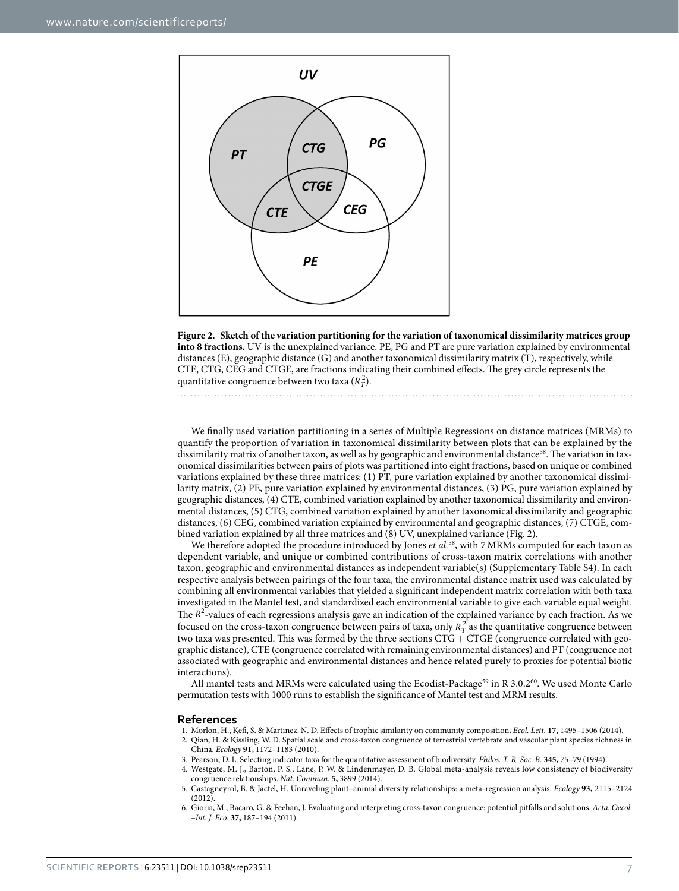

<span id="page-6-6"></span>

We finally used variation partitioning in a series of Multiple Regressions on distance matrices (MRMs) to quantify the proportion of variation in taxonomical dissimilarity between plots that can be explained by the dissimilarity matrix of another taxon, as well as by geographic and environmental distance<sup>58</sup>. The variation in taxonomical dissimilarities between pairs of plots was partitioned into eight fractions, based on unique or combined variations explained by these three matrices: (1) PT, pure variation explained by another taxonomical dissimilarity matrix, (2) PE, pure variation explained by environmental distances, (3) PG, pure variation explained by geographic distances, (4) CTE, combined variation explained by another taxonomical dissimilarity and environmental distances, (5) CTG, combined variation explained by another taxonomical dissimilarity and geographic distances, (6) CEG, combined variation explained by environmental and geographic distances, (7) CTGE, combined variation explained by all three matrices and (8) UV, unexplained variance [\(Fig. 2\)](#page-6-6).

We therefore adopted the procedure introduced by Jones *et al.*<sup>[58](#page-8-7)</sup>, with 7 MRMs computed for each taxon as dependent variable, and unique or combined contributions of cross-taxon matrix correlations with another taxon, geographic and environmental distances as independent variable(s) (Supplementary Table S4). In each respective analysis between pairings of the four taxa, the environmental distance matrix used was calculated by combining all environmental variables that yielded a significant independent matrix correlation with both taxa investigated in the Mantel test, and standardized each environmental variable to give each variable equal weight. The *R*<sup>2</sup>-values of each regressions analysis gave an indication of the explained variance by each fraction. As we focused on the cross-taxon congruence between pairs of taxa, only  $R_T^2$  as the quantitative congruence between two taxa was presented. This was formed by the three sections  $CTG + CTGE$  (congruence correlated with geographic distance), CTE (congruence correlated with remaining environmental distances) and PT (congruence not associated with geographic and environmental distances and hence related purely to proxies for potential biotic interactions).

All mantel tests and MRMs were calculated using the Ecodist-Package<sup>59</sup> in R 3.0.2<sup>60</sup>. We used Monte Carlo permutation tests with 1000 runs to establish the significance of Mantel test and MRM results.

#### **References**

- <span id="page-6-1"></span><span id="page-6-0"></span>1. Morlon, H., Kefi, S. & Martinez, N. D. Effects of trophic similarity on community composition. *Ecol. Lett.* **17,** 1495–1506 (2014). 2. Qian, H. & Kissling, W. D. Spatial scale and cross-taxon congruence of terrestrial vertebrate and vascular plant species richness in
	- China. *Ecology* **91,** 1172–1183 (2010).
- <span id="page-6-3"></span><span id="page-6-2"></span>3. Pearson, D. L. Selecting indicator taxa for the quantitative assessment of biodiversity. *Philos. T. R. Soc. B*. **345,** 75–79 (1994).
- 4. Westgate, M. J., Barton, P. S., Lane, P. W. & Lindenmayer, D. B. Global meta-analysis reveals low consistency of biodiversity congruence relationships. *Nat. Commun.* **5,** 3899 (2014).
- <span id="page-6-4"></span>5. Castagneyrol, B. & Jactel, H. Unraveling plant–animal diversity relationships: a meta-regression analysis. *Ecology* **93,** 2115–2124 (2012).
- <span id="page-6-5"></span>6. Gioria, M., Bacaro, G. & Feehan, J. Evaluating and interpreting cross-taxon congruence: potential pitfalls and solutions. *Acta. Oecol. –Int. J. Eco*. **37,** 187–194 (2011).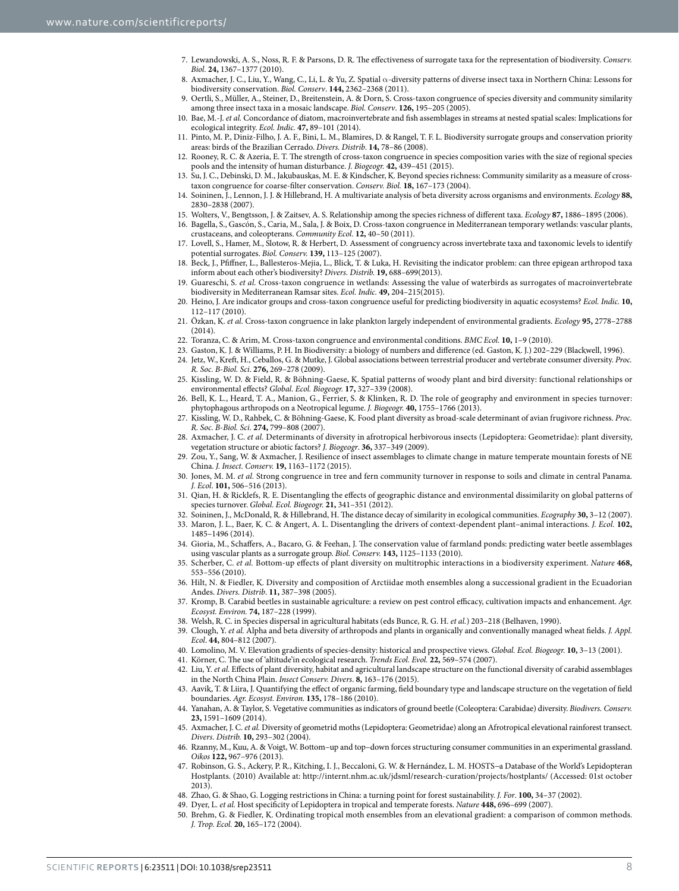- 7. Lewandowski, A. S., Noss, R. F. & Parsons, D. R. The effectiveness of surrogate taxa for the representation of biodiversity. *Conserv. Biol.* **24,** 1367–1377 (2010).
- <span id="page-7-0"></span>8. Axmacher, J. C., Liu, Y., Wang, C., Li, L. & Yu, Z. Spatial α-diversity patterns of diverse insect taxa in Northern China: Lessons for biodiversity conservation. *Biol. Conserv*. **144,** 2362–2368 (2011).
- <span id="page-7-1"></span>9. Oertli, S., Müller, A., Steiner, D., Breitenstein, A. & Dorn, S. Cross-taxon congruence of species diversity and community similarity among three insect taxa in a mosaic landscape. *Biol. Conserv*. **126,** 195–205 (2005).
- <span id="page-7-2"></span>10. Bae, M.-J. *et al.* Concordance of diatom, macroinvertebrate and fish assemblages in streams at nested spatial scales: Implications for ecological integrity. *Ecol. Indic.* **47,** 89–101 (2014).
- <span id="page-7-3"></span>11. Pinto, M. P., Diniz-Filho, J. A. F., Bini, L. M., Blamires, D. & Rangel, T. F. L. Biodiversity surrogate groups and conservation priority areas: birds of the Brazilian Cerrado. *Divers. Distrib*. **14,** 78–86 (2008).
- <span id="page-7-4"></span>12. Rooney, R. C. & Azeria, E. T. The strength of cross-taxon congruence in species composition varies with the size of regional species pools and the intensity of human disturbance. *J. Biogeogr.* **42,** 439–451 (2015).
- <span id="page-7-5"></span>13. Su, J. C., Debinski, D. M., Jakubauskas, M. E. & Kindscher, K. Beyond species richness: Community similarity as a measure of cross‐ taxon congruence for coarse‐filter conservation. *Conserv. Biol.* **18,** 167–173 (2004).
- 14. Soininen, J., Lennon, J. J. & Hillebrand, H. A multivariate analysis of beta diversity across organisms and environments. *Ecology* **88,** 2830–2838 (2007).
- <span id="page-7-6"></span>15. Wolters, V., Bengtsson, J. & Zaitsev, A. S. Relationship among the species richness of different taxa. *Ecology* **87,** 1886–1895 (2006).
- <span id="page-7-7"></span>16. Bagella, S., Gascón, S., Caria, M., Sala, J. & Boix, D. Cross-taxon congruence in Mediterranean temporary wetlands: vascular plants, crustaceans, and coleopterans. *Community Ecol.* **12,** 40–50 (2011).
- <span id="page-7-8"></span>17. Lovell, S., Hamer, M., Slotow, R. & Herbert, D. Assessment of congruency across invertebrate taxa and taxonomic levels to identify potential surrogates. *Biol. Conserv.* **139,** 113–125 (2007).
- <span id="page-7-9"></span>18. Beck, J., Pfiffner, L., Ballesteros-Mejia, L., Blick, T. & Luka, H. Revisiting the indicator problem: can three epigean arthropod taxa inform about each other's biodiversity? *Divers. Distrib.* **19,** 688–699(2013).
- <span id="page-7-10"></span>19. Guareschi, S. *et al.* Cross-taxon congruence in wetlands: Assessing the value of waterbirds as surrogates of macroinvertebrate biodiversity in Mediterranean Ramsar sites. *Ecol. Indic.* **49,** 204–215(2015).
- <span id="page-7-11"></span>20. Heino, J. Are indicator groups and cross-taxon congruence useful for predicting biodiversity in aquatic ecosystems? *Ecol. Indic.* **10,** 112–117 (2010).
- <span id="page-7-12"></span>21. Özkan, K. *et al.* Cross-taxon congruence in lake plankton largely independent of environmental gradients. *Ecology* **95,** 2778–2788 (2014).
- <span id="page-7-13"></span>22. Toranza, C. & Arim, M. Cross-taxon congruence and environmental conditions. *BMC Ecol.* **10,** 1–9 (2010).
- <span id="page-7-17"></span><span id="page-7-14"></span>23. Gaston, K. J. & Williams, P. H. In Biodiversity: a biology of numbers and difference (ed. Gaston, K. J.) 202–229 (Blackwell, 1996).
- 24. Jetz, W., Kreft, H., Ceballos, G. & Mutke, J. Global associations between terrestrial producer and vertebrate consumer diversity. *Proc. R. Soc. B-Biol. Sci*. **276,** 269–278 (2009).
- <span id="page-7-37"></span>25. Kissling, W. D. & Field, R. & Böhning‐Gaese, K. Spatial patterns of woody plant and bird diversity: functional relationships or environmental effects? *Global. Ecol. Biogeogr.* **17,** 327–339 (2008).
- <span id="page-7-15"></span>26. Bell, K. L., Heard, T. A., Manion, G., Ferrier, S. & Klinken, R. D. The role of geography and environment in species turnover: phytophagous arthropods on a Neotropical legume. *J. Biogeogr.* **40,** 1755–1766 (2013).
- <span id="page-7-16"></span>27. Kissling, W. D., Rahbek, C. & Böhning-Gaese, K. Food plant diversity as broad-scale determinant of avian frugivore richness. *Proc. R. Soc. B-Biol. Sci.* **274,** 799–808 (2007).
- <span id="page-7-18"></span>28. Axmacher, J. C. *et al.* Determinants of diversity in afrotropical herbivorous insects (Lepidoptera: Geometridae): plant diversity, vegetation structure or abiotic factors? *J. Biogeogr*. **36,** 337–349 (2009).
- <span id="page-7-19"></span>Zou, Y., Sang, W. & Axmacher, J. Resilience of insect assemblages to climate change in mature temperate mountain forests of NE China. *J. Insect. Conserv.* **19,** 1163–1172 (2015).
- <span id="page-7-20"></span>30. Jones, M. M. *et al.* Strong congruence in tree and fern community turnover in response to soils and climate in central Panama. *J. Ecol*. **101,** 506–516 (2013).
- <span id="page-7-21"></span>31. Qian, H. & Ricklefs, R. E. Disentangling the effects of geographic distance and environmental dissimilarity on global patterns of species turnover. *Global. Ecol. Biogeogr.* **21,** 341–351 (2012).
- <span id="page-7-23"></span><span id="page-7-22"></span>32. Soininen, J., McDonald, R. & Hillebrand, H. The distance decay of similarity in ecological communities. *Ecography* **30,** 3–12 (2007). 33. Maron, J. L., Baer, K. C. & Angert, A. L. Disentangling the drivers of context-dependent plant–animal interactions. *J. Ecol.* **102,**
- <span id="page-7-24"></span>1485–1496 (2014). 34. Gioria, M., Schaffers, A., Bacaro, G. & Feehan, J. The conservation value of farmland ponds: predicting water beetle assemblages
- <span id="page-7-25"></span>using vascular plants as a surrogate group. *Biol. Conserv.* **143,** 1125–1133 (2010). 35. Scherber, C. *et al.* Bottom-up effects of plant diversity on multitrophic interactions in a biodiversity experiment. *Nature* **468,** 553–556 (2010).
- <span id="page-7-26"></span>36. Hilt, N. & Fiedler, K. Diversity and composition of Arctiidae moth ensembles along a successional gradient in the Ecuadorian Andes. *Divers. Distrib*. **11,** 387–398 (2005).
- <span id="page-7-27"></span>37. Kromp, B. Carabid beetles in sustainable agriculture: a review on pest control efficacy, cultivation impacts and enhancement. *Agr. Ecosyst. Environ.* **74,** 187–228 (1999).
- <span id="page-7-28"></span>38. Welsh, R. C. in Species dispersal in agricultural habitats (eds Bunce, R. G. H. *et al.*) 203–218 (Belhaven, 1990).
- <span id="page-7-29"></span>39. Clough, Y. *et al.* Alpha and beta diversity of arthropods and plants in organically and conventionally managed wheat fields. *J. Appl. Ecol*. **44,** 804–812 (2007).
- <span id="page-7-31"></span><span id="page-7-30"></span>40. Lomolino, M. V. Elevation gradients of species-density: historical and prospective views. *Global. Ecol. Biogeogr.* **10,** 3–13 (2001).
- 41. Körner, C. The use of 'altitude'in ecological research. *Trends Ecol. Evol.* **22,** 569–574 (2007).
- <span id="page-7-32"></span>42. Liu, Y. *et al.* Effects of plant diversity, habitat and agricultural landscape structure on the functional diversity of carabid assemblages in the North China Plain. *Insect Conserv. Divers*. **8,** 163–176 (2015).
- <span id="page-7-33"></span>43. Aavik, T. & Liira, J. Quantifying the effect of organic farming, field boundary type and landscape structure on the vegetation of field boundaries. *Agr. Ecosyst. Environ.* **135,** 178–186 (2010).
- <span id="page-7-34"></span>44. Yanahan, A. & Taylor, S. Vegetative communities as indicators of ground beetle (Coleoptera: Carabidae) diversity. *Biodivers. Conserv.* **23,** 1591–1609 (2014).
- <span id="page-7-35"></span>45. Axmacher, J. C. *et al.* Diversity of geometrid moths (Lepidoptera: Geometridae) along an Afrotropical elevational rainforest transect. *Divers. Distrib.* **10,** 293–302 (2004).
- <span id="page-7-36"></span>46. Rzanny, M., Kuu, A. & Voigt, W. Bottom–up and top–down forces structuring consumer communities in an experimental grassland. *Oikos* **122,** 967–976 (2013).
- <span id="page-7-38"></span>47. Robinson, G. S., Ackery, P. R., Kitching, I. J., Beccaloni, G. W. & Hernández, L. M. HOSTS*-*a Database of the World's Lepidopteran Hostplants. (2010) Available at: <http://internt.nhm.ac.uk/jdsml/research-curation/projects/hostplants/>(Accessed: 01st october 2013).
- <span id="page-7-39"></span>48. Zhao, G. & Shao, G. Logging restrictions in China: a turning point for forest sustainability. *J. For*. **100,** 34–37 (2002).
- <span id="page-7-40"></span>49. Dyer, L. *et al.* Host specificity of Lepidoptera in tropical and temperate forests. *Nature* **448,** 696–699 (2007).
- <span id="page-7-41"></span>50. Brehm, G. & Fiedler, K. Ordinating tropical moth ensembles from an elevational gradient: a comparison of common methods. *J. Trop. Ecol.* **20,** 165–172 (2004).